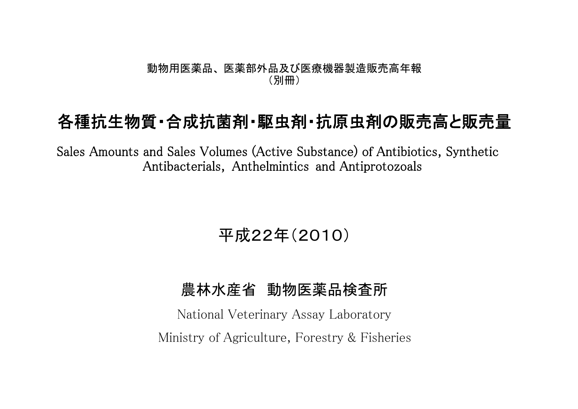#### 動物用医薬品、 医薬部外品及び医療機器製造販売高年報 (別冊)

# 各種抗生物質・合成抗菌剤・駆虫剤・抗原虫剤の販売高と販売量

Sales Amounts and Sales Volumes (Active Substance) of Antibiotics, Synthetic Antibacterials, Anthelmintics and Antiprotozoals

# 平成22年(2010)

### 農林水産省 動物医薬品検査所

National Veterinary Assay Laboratory Ministry of Agriculture, Forestry & Fisheries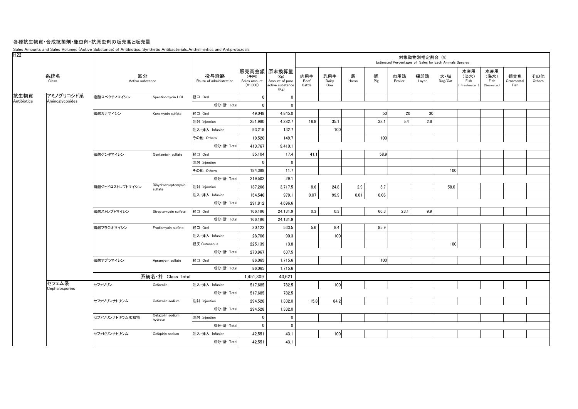#### 各種抗生物質・合成抗菌剤・駆虫剤・抗原虫剤の販売高と販売量

Sales Amounts and Sales Volumes (Active Substance) of Antibiotics, Synthetic Antibacterials, Anthelmintics and Antiprotozoals

| H <sub>22</sub> |                         |                        |                                |                                 |                                    |                                                                   |                       |                     |            |          |                | 対象動物別推定割合 (%) | Estimated Percentages of Sales for Each Animals Species |                                   |                                   |                           |               |
|-----------------|-------------------------|------------------------|--------------------------------|---------------------------------|------------------------------------|-------------------------------------------------------------------|-----------------------|---------------------|------------|----------|----------------|---------------|---------------------------------------------------------|-----------------------------------|-----------------------------------|---------------------------|---------------|
|                 | 系統名<br>Class            | 区分<br>Active substance |                                | 投与経路<br>Route of administration | (千円)<br>Sales amount<br>$(*1,000)$ | 販売高金額 原末換算量<br>(Kg)<br>Amount of pure<br>active substance<br>(Kg) | 肉用牛<br>Beef<br>Cattle | 乳用牛<br>Dairy<br>Cow | 馬<br>Horse | 豚<br>Pig | 肉用鶏<br>Broiler | 採卵鶏<br>Layer  | 犬・猫<br>Dog/Cat                                          | 水産用<br>(淡水)<br>Fish<br>Freshwater | 水産用<br>(海水)<br>Fish<br>(Seawater) | 観賞魚<br>Ornamental<br>Fish | その他<br>Others |
| 抗生物質            | アミノグリコシド系               | 塩酸スペクチノマイシン            | Spectinomycin HCI              | 経口 Oral                         | $\mathbf 0$                        | $\mathbf 0$                                                       |                       |                     |            |          |                |               |                                                         |                                   |                                   |                           |               |
| Antibiotics     | Aminoglycosides         |                        |                                | 成分·計 Total                      | $\mathbf{0}$                       | $\mathbf 0$                                                       |                       |                     |            |          |                |               |                                                         |                                   |                                   |                           |               |
|                 |                         | 硫酸カナマイシン               | Kanamycin sulfate              | 経口 Oral                         | 49,048                             | 4,845.0                                                           |                       |                     |            | 50       | 20             | 30            |                                                         |                                   |                                   |                           |               |
|                 |                         |                        |                                | 注射 Injection                    | 251,980                            | 4,282.7                                                           | 18.8                  | 35.1                |            | 38.1     | 5.4            | 2.6           |                                                         |                                   |                                   |                           |               |
|                 |                         |                        |                                | 注入·挿入 Infusion                  | 93,219                             | 132.7                                                             |                       | 100                 |            |          |                |               |                                                         |                                   |                                   |                           |               |
|                 |                         |                        |                                | その他 Others                      | 19,520                             | 149.7                                                             |                       |                     |            | 100      |                |               |                                                         |                                   |                                   |                           |               |
|                 |                         |                        |                                | 成分·計 Total                      | 413,767                            | 9,410.1                                                           |                       |                     |            |          |                |               |                                                         |                                   |                                   |                           |               |
|                 |                         | 硫酸ゲンタマイシン              | Gentamicin sulfate             | 経口 Oral                         | 35,104                             | 17.4                                                              | 41.1                  |                     |            | 58.9     |                |               |                                                         |                                   |                                   |                           |               |
|                 |                         |                        |                                | 注射 Injection                    | $\mathbf 0$                        | $\mathbf 0$                                                       |                       |                     |            |          |                |               |                                                         |                                   |                                   |                           |               |
|                 |                         |                        |                                | その他 Others                      | 184,398                            | 11.7                                                              |                       |                     |            |          |                |               | 100                                                     |                                   |                                   |                           |               |
|                 |                         |                        |                                | 成分·計 Total                      | 219,502                            | 29.1                                                              |                       |                     |            |          |                |               |                                                         |                                   |                                   |                           |               |
|                 |                         | 硫酸ジヒドロストレプトマイシン        | Dihydrostreptomycin<br>sulfate | 注射 Injection                    | 137,266                            | 3,717.5                                                           | 8.6                   | 24.8                | 2.9        | 5.7      |                |               | 58.0                                                    |                                   |                                   |                           |               |
|                 |                         |                        |                                | 注入·挿入 Infusion                  | 154,546                            | 979.1                                                             | 0.07                  | 99.9                | 0.01       | 0.06     |                |               |                                                         |                                   |                                   |                           |               |
|                 |                         |                        |                                | 成分·計 Total                      | 291,812                            | 4,696.6                                                           |                       |                     |            |          |                |               |                                                         |                                   |                                   |                           |               |
|                 |                         | 硫酸ストレプトマイシン            | Streptomycin sulfate           | 経口 Oral                         | 166,196                            | 24,131.9                                                          | 0.3                   | 0.3                 |            | 66.3     | 23.1           | 9.9           |                                                         |                                   |                                   |                           |               |
|                 |                         |                        |                                | 成分·計 Total                      | 166,196                            | 24,131.9                                                          |                       |                     |            |          |                |               |                                                         |                                   |                                   |                           |               |
|                 |                         | 硫酸フラジオマイシン             | Fradiomycin sulfate            | 経口 Oral                         | 20,122                             | 533.5                                                             | 5.6                   | 8.4                 |            | 85.9     |                |               |                                                         |                                   |                                   |                           |               |
|                 |                         |                        |                                | 注入·挿入 Infusion                  | 28,706                             | 90.3                                                              |                       | 100                 |            |          |                |               |                                                         |                                   |                                   |                           |               |
|                 |                         |                        |                                | 経皮 Cutaneous                    | 225,139                            | 13.8                                                              |                       |                     |            |          |                |               | 100                                                     |                                   |                                   |                           |               |
|                 |                         |                        |                                | 成分·計 Total                      | 273,967                            | 637.5                                                             |                       |                     |            |          |                |               |                                                         |                                   |                                   |                           |               |
|                 |                         | 硫酸アプラマイシン              | Apramycin sulfate              | 経口 Oral                         | 86,065                             | 1,715.6                                                           |                       |                     |            | 100      |                |               |                                                         |                                   |                                   |                           |               |
|                 |                         |                        |                                | 成分·計 Total                      | 86,065                             | 1,715.6                                                           |                       |                     |            |          |                |               |                                                         |                                   |                                   |                           |               |
|                 |                         |                        | 系統名·計 Class Total              |                                 | 1,451,309                          | 40,621                                                            |                       |                     |            |          |                |               |                                                         |                                   |                                   |                           |               |
|                 | セフェム系<br>Cephalosporins | セファゾリン                 | Cefazolin                      | 注入·挿入 Infusion                  | 517.685                            | 782.5                                                             |                       | 100                 |            |          |                |               |                                                         |                                   |                                   |                           |               |
|                 |                         |                        |                                | 成分·計 Total                      | 517,685                            | 782.5                                                             |                       |                     |            |          |                |               |                                                         |                                   |                                   |                           |               |
|                 |                         | セファゾリンナトリウム            | Cefazolin sodium               | 注射 Injection                    | 294,528                            | 1,332.0                                                           | 15.8                  | 84.2                |            |          |                |               |                                                         |                                   |                                   |                           |               |
|                 |                         |                        |                                | 成分·計 Total                      | 294,528                            | 1,332.0                                                           |                       |                     |            |          |                |               |                                                         |                                   |                                   |                           |               |
|                 |                         | セファゾリンナトリウム水和物         | Cefazolin sodium<br>hydrate    | 注射 Injection                    | $\mathbf{0}$                       | $\mathbf{0}$                                                      |                       |                     |            |          |                |               |                                                         |                                   |                                   |                           |               |
|                 |                         |                        |                                | 成分·計 Total                      | $\mathbf 0$                        | 0                                                                 |                       |                     |            |          |                |               |                                                         |                                   |                                   |                           |               |
|                 |                         | セファピリンナトリウム            | Cefapirin sodium               | 注入·挿入 Infusion                  | 42,551                             | 43.1                                                              |                       | 100                 |            |          |                |               |                                                         |                                   |                                   |                           |               |
|                 |                         |                        |                                | 成分·計 Total                      | 42,551                             | 43.1                                                              |                       |                     |            |          |                |               |                                                         |                                   |                                   |                           |               |
|                 |                         |                        |                                |                                 |                                    |                                                                   |                       |                     |            |          |                |               |                                                         |                                   |                                   |                           |               |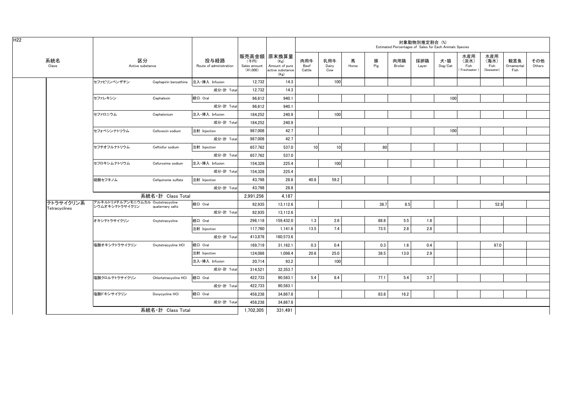|                            |                                                     |                       |                                 |                                  |                                                                   |                       |                     |            |          |                | 対象動物別推定割合 (%) | Estimated Percentages of Sales for Each Animals Species |                                    |                                   |                           |               |
|----------------------------|-----------------------------------------------------|-----------------------|---------------------------------|----------------------------------|-------------------------------------------------------------------|-----------------------|---------------------|------------|----------|----------------|---------------|---------------------------------------------------------|------------------------------------|-----------------------------------|---------------------------|---------------|
| 系統名<br>Class               | 区分<br>Active substance                              |                       | 投与経路<br>Route of administration | (千円)<br>Sales amount<br>(41,000) | 販売高金額 原末換算量<br>(Kg)<br>Amount of pure<br>active substance<br>(Kg) | 肉用牛<br>Beef<br>Cattle | 乳用牛<br>Dairy<br>Cow | 馬<br>Horse | 豚<br>Pig | 肉用鶏<br>Broiler | 採卵鶏<br>Layer  | 犬・猫<br>Dog/Cat                                          | 水産用<br>(淡水)<br>Fish<br>Freshwater) | 水産用<br>(海水)<br>Fish<br>(Seawater) | 観賞魚<br>Ornamental<br>Fish | その他<br>Others |
|                            | セファピリンベンザチン                                         | Cephapirin benzathine | 注入·挿入 Infusion                  | 12,732                           | 14.3                                                              |                       | 100                 |            |          |                |               |                                                         |                                    |                                   |                           |               |
|                            |                                                     |                       | 成分·計 Total                      | 12,732                           | 14.3                                                              |                       |                     |            |          |                |               |                                                         |                                    |                                   |                           |               |
|                            | セファレキシン                                             | Cephalexin            | 経口 Oral                         | 96,612                           | 940.1                                                             |                       |                     |            |          |                |               | 100                                                     |                                    |                                   |                           |               |
|                            |                                                     |                       | 成分·計 Total                      | 96,612                           | 940.1                                                             |                       |                     |            |          |                |               |                                                         |                                    |                                   |                           |               |
|                            | セファロニウム                                             | Cephalonium           | 注入·挿入 Infusion                  | 184,252                          | 240.9                                                             |                       | 100                 |            |          |                |               |                                                         |                                    |                                   |                           |               |
|                            |                                                     |                       | 成分·計 Total                      | 184,252                          | 240.9                                                             |                       |                     |            |          |                |               |                                                         |                                    |                                   |                           |               |
|                            | セフォベシンナトリウム                                         | Cefovecin sodium      | 注射 Injection                    | 987,008                          | 42.7                                                              |                       |                     |            |          |                |               | 100                                                     |                                    |                                   |                           |               |
|                            |                                                     |                       | 成分·計 Total                      | 987.008                          | 42.7                                                              |                       |                     |            |          |                |               |                                                         |                                    |                                   |                           |               |
|                            | セフチオフルナトリウム                                         | Ceftiofur sodium      | 注射 Injection                    | 657.762                          | 537.0                                                             | 10                    | 10 <sup>1</sup>     |            | 80       |                |               |                                                         |                                    |                                   |                           |               |
|                            |                                                     |                       | 成分·計 Total                      | 657,762                          | 537.0                                                             |                       |                     |            |          |                |               |                                                         |                                    |                                   |                           |               |
|                            | セフロキシムナトリウム                                         | Cefuroxime sodium     | 注入·挿入 Infusion                  | 154,328                          | 225.4                                                             |                       | 100                 |            |          |                |               |                                                         |                                    |                                   |                           |               |
|                            |                                                     |                       | 成分·計 Total                      | 154.328                          | 225.4                                                             |                       |                     |            |          |                |               |                                                         |                                    |                                   |                           |               |
|                            | 硫酸セフキノム                                             | Cefquinome sulfate    | 注射 Injection                    | 43.798                           | 28.8                                                              | 40.8                  | 59.2                |            |          |                |               |                                                         |                                    |                                   |                           |               |
|                            |                                                     |                       | 成分·計 Total                      | 43,798                           | 28.8                                                              |                       |                     |            |          |                |               |                                                         |                                    |                                   |                           |               |
|                            |                                                     | 系統名·計 Class Total     |                                 | 2,991,256                        | 4,187                                                             |                       |                     |            |          |                |               |                                                         |                                    |                                   |                           |               |
| テトラサイクリン系<br>Tetracyclines | アルキルトリメチルアンモニウムカル Oxytetracycline<br>シウムオキシテトラサイクリン | quaternary salts      | 経口 Oral                         | 92,935                           | 13,112.6                                                          |                       |                     |            | 38.7     | 8.5            |               |                                                         |                                    | 52.8                              |                           |               |
|                            |                                                     |                       | 成分·計 Total                      | 92,935                           | 13,112.6                                                          |                       |                     |            |          |                |               |                                                         |                                    |                                   |                           |               |
|                            | オキシテトラサイクリン                                         | Oxytetracycline       | 経口 Oral                         | 296,118                          | 159,432.0                                                         | 1.3                   | 2.6                 |            | 88.8     | 5.5            | 1.8           |                                                         |                                    |                                   |                           |               |
|                            |                                                     |                       | 注射 Injection                    | 117,760                          | 1,141.6                                                           | 13.5                  | 7.4                 |            | 73.5     | 2.8            | 2.8           |                                                         |                                    |                                   |                           |               |
|                            |                                                     |                       | 成分·計 Total                      | 413,878                          | 160,573.6                                                         |                       |                     |            |          |                |               |                                                         |                                    |                                   |                           |               |
|                            | 塩酸オキシテトラサイクリン                                       | Oxytetracycline HCI   | 経口 Oral                         | 169,719                          | 31,162.1                                                          | 0.3                   | 0.4                 |            | 0.3      | 1.6            | 0.4           |                                                         |                                    | 97.0                              |                           |               |
|                            |                                                     |                       | 注射 Injection                    | 124,088                          | 1,098.4                                                           | 20.6                  | 25.0                |            | 38.5     | 13.0           | 2.9           |                                                         |                                    |                                   |                           |               |
|                            |                                                     |                       | 注入·挿入 Infusion                  | 20,714                           | 93.2                                                              |                       | 100                 |            |          |                |               |                                                         |                                    |                                   |                           |               |
|                            |                                                     |                       | 成分·計 Total                      | 314,521                          | 32,353.7                                                          |                       |                     |            |          |                |               |                                                         |                                    |                                   |                           |               |
|                            | 塩酸クロルテトラサイクリン                                       | Chlortetracycline HCI | 経口 Oral                         | 422,733                          | 90,583.1                                                          | 5.4                   | 8.4                 |            | 77.1     | 5.4            | 3.7           |                                                         |                                    |                                   |                           |               |
|                            |                                                     |                       | 成分·計 Total                      | 422,733                          | 90,583.1                                                          |                       |                     |            |          |                |               |                                                         |                                    |                                   |                           |               |
|                            | 塩酸ドキシサイクリン                                          | Doxycycline HCI       | 経口 Oral                         | 458,238                          | 34,867.8                                                          |                       |                     |            | 83.8     | 16.2           |               |                                                         |                                    |                                   |                           |               |
|                            |                                                     |                       | 成分·計 Total                      | 458,238                          | 34.867.8                                                          |                       |                     |            |          |                |               |                                                         |                                    |                                   |                           |               |
|                            | 系統名·計 Class Total                                   |                       |                                 |                                  | 331,491                                                           |                       |                     |            |          |                |               |                                                         |                                    |                                   |                           |               |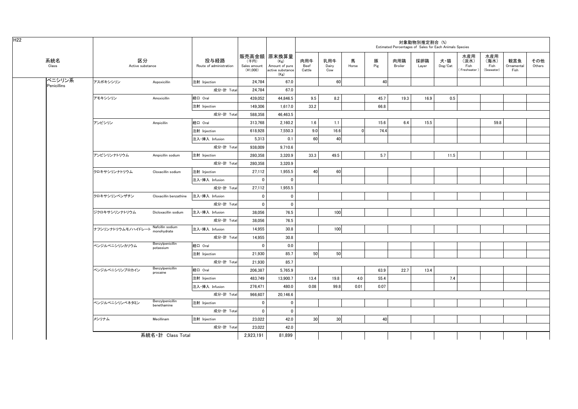| H <sub>22</sub> |                       |                        |                                 |                                 |                                    |                                                                   |                       |                     |            |          | Estimated Percentages of Sales for Each Animals Species | 対象動物別推定割合 (%) |                                    |                                   |                                   |                           |               |
|-----------------|-----------------------|------------------------|---------------------------------|---------------------------------|------------------------------------|-------------------------------------------------------------------|-----------------------|---------------------|------------|----------|---------------------------------------------------------|---------------|------------------------------------|-----------------------------------|-----------------------------------|---------------------------|---------------|
|                 | 系統名<br>Class          | 区分<br>Active substance |                                 | 投与経路<br>Route of administration | (千円)<br>Sales amount<br>$(*1,000)$ | 販売高金額 原末換算量<br>(Kg)<br>Amount of pure<br>active substance<br>(Kg) | 肉用牛<br>Beef<br>Cattle | 乳用牛<br>Dairy<br>Cow | 馬<br>Horse | 豚<br>Pig | 肉用鶏<br>Broiler                                          | 採卵鶏<br>Layer  | 犬・猫<br>$\mathsf{Dog}/\mathsf{Cat}$ | 水産用<br>(淡水)<br>Fish<br>Freshwater | 水産用<br>(海水)<br>Fish<br>(Seawater) | 観賞魚<br>Ornamental<br>Fish | その他<br>Others |
|                 | ペニシリン系<br>Penicillins | アスポキシシリン               | Aspoxicillin                    | 注射 Injection                    | 24,784                             | 67.0                                                              |                       | 60                  |            | 40       |                                                         |               |                                    |                                   |                                   |                           |               |
|                 |                       |                        |                                 | 成分·計 Total                      | 24,784                             | 67.0                                                              |                       |                     |            |          |                                                         |               |                                    |                                   |                                   |                           |               |
|                 |                       | アモキシシリン                | Amoxicillin                     | 経口 Oral                         | 439,052                            | 44,846.5                                                          | 9.5                   | 8.2                 |            | 45.7     | 19.3                                                    | 16.9          | 0.5                                |                                   |                                   |                           |               |
|                 |                       |                        |                                 | 注射 Injection                    | 149,306                            | 1,617.0                                                           | 33.2                  |                     |            | 66.8     |                                                         |               |                                    |                                   |                                   |                           |               |
|                 |                       |                        |                                 | 成分·計 Total                      | 588,358                            | 46,463.5                                                          |                       |                     |            |          |                                                         |               |                                    |                                   |                                   |                           |               |
|                 |                       | アンピシリン                 | Ampicillin                      | 経口 Oral                         | 313,768                            | 2,160.2                                                           | 1.6                   | 1.1                 |            | 15.6     | 6.4                                                     | 15.5          |                                    |                                   | 59.8                              |                           |               |
|                 |                       |                        |                                 | 注射 Injection                    | 618,928                            | 7,550.3                                                           | 9.0                   | 16.6                |            | 74.4     |                                                         |               |                                    |                                   |                                   |                           |               |
|                 |                       |                        |                                 | 注入·挿入 Infusion                  | 5,313                              | 0.1                                                               | 60                    | 40                  |            |          |                                                         |               |                                    |                                   |                                   |                           |               |
|                 |                       |                        |                                 | 成分·計 Total                      | 938,009                            | 9,710.6                                                           |                       |                     |            |          |                                                         |               |                                    |                                   |                                   |                           |               |
|                 |                       | アンピシリンナトリウム            | Ampicillin sodium               | 注射 Injection                    | 280,358                            | 3,320.9                                                           | 33.3                  | 49.5                |            | 5.7      |                                                         |               | 11.5                               |                                   |                                   |                           |               |
|                 |                       |                        |                                 | 成分·計 Total                      | 280,358                            | 3,320.9                                                           |                       |                     |            |          |                                                         |               |                                    |                                   |                                   |                           |               |
|                 |                       | クロキサシリンナトリウム           | Cloxacillin sodium              | 注射 Injection                    | 27,112                             | 1,955.5                                                           | 40                    | 60                  |            |          |                                                         |               |                                    |                                   |                                   |                           |               |
|                 |                       |                        |                                 | 注入·挿入 Infusion                  | $\mathbf 0$                        | $\mathbf{0}$                                                      |                       |                     |            |          |                                                         |               |                                    |                                   |                                   |                           |               |
|                 |                       |                        |                                 | 成分·計 Total                      | 27,112                             | 1,955.5                                                           |                       |                     |            |          |                                                         |               |                                    |                                   |                                   |                           |               |
|                 |                       | クロキサシリンベンザチン           | Cloxacillin benzathine          | 注入·挿入 Infusion                  | $\mathbf 0$                        | $\mathbf 0$                                                       |                       |                     |            |          |                                                         |               |                                    |                                   |                                   |                           |               |
|                 |                       |                        |                                 | 成分·計 Total                      | $\mathbf 0$                        | $\mathbf 0$                                                       |                       |                     |            |          |                                                         |               |                                    |                                   |                                   |                           |               |
|                 |                       | ジクロキサシリンナトリウム          | Dicloxacillin sodium            | 注入·挿入 Infusion                  | 38,056                             | 76.5                                                              |                       | 100                 |            |          |                                                         |               |                                    |                                   |                                   |                           |               |
|                 |                       |                        |                                 | 成分·計 Total                      | 38,056                             | 76.5                                                              |                       |                     |            |          |                                                         |               |                                    |                                   |                                   |                           |               |
|                 |                       | ナフシリンナトリウムモノハイドレート     | Nafcillin sodium<br>monohydrate | 注入·挿入 Infusion                  | 14,955                             | 30.8                                                              |                       | 100                 |            |          |                                                         |               |                                    |                                   |                                   |                           |               |
|                 |                       |                        |                                 | 成分·計 Total                      | 14,955                             | 30.8                                                              |                       |                     |            |          |                                                         |               |                                    |                                   |                                   |                           |               |
|                 |                       | ベンジルペニシリンカリウム          | Benzylpenicillin<br>potassium   | 経口 Oral                         | $\mathbf 0$                        | 0.0                                                               |                       |                     |            |          |                                                         |               |                                    |                                   |                                   |                           |               |
|                 |                       |                        |                                 | 注射 Injection                    | 21,930                             | 85.7                                                              | 50                    | 50                  |            |          |                                                         |               |                                    |                                   |                                   |                           |               |
|                 |                       |                        |                                 | 成分·計 Total                      | 21,930                             | 85.7                                                              |                       |                     |            |          |                                                         |               |                                    |                                   |                                   |                           |               |
|                 |                       | ベンジルペニシリンプロカイン         | Benzylpenicillin<br>procaine    | 経口 Oral                         | 206,387                            | 5,765.9                                                           |                       |                     |            | 63.9     | 22.7                                                    | 13.4          |                                    |                                   |                                   |                           |               |
|                 |                       |                        |                                 | 注射 Injection                    | 483,749                            | 13,900.7                                                          | 13.4                  | 19.8                | 4.0        | 55.4     |                                                         |               | 7.4                                |                                   |                                   |                           |               |
|                 |                       |                        |                                 | 注入·挿入 Infusion                  | 276,471                            | 480.0                                                             | 0.08                  | 99.8                | 0.01       | 0.07     |                                                         |               |                                    |                                   |                                   |                           |               |
|                 |                       |                        |                                 | 成分·計 Total                      | 966,607                            | 20,146.6                                                          |                       |                     |            |          |                                                         |               |                                    |                                   |                                   |                           |               |
|                 |                       | ベンジルペニシリンベネタミン         | Benzylpenicillin<br>benethamine | 注射 Injection                    | $\mathbf 0$                        | $\mathbf 0$                                                       |                       |                     |            |          |                                                         |               |                                    |                                   |                                   |                           |               |
|                 |                       |                        |                                 | 成分·計 Total                      | $\mathbf 0$                        | $\mathbf 0$                                                       |                       |                     |            |          |                                                         |               |                                    |                                   |                                   |                           |               |
|                 |                       | メシリナム                  | Mecillinam                      | 注射 Injection                    | 23,022                             | 42.0                                                              | 30 <sup>1</sup>       | 30                  |            | 40       |                                                         |               |                                    |                                   |                                   |                           |               |
|                 |                       |                        |                                 | 成分·計 Total                      | 23,022                             | 42.0                                                              |                       |                     |            |          |                                                         |               |                                    |                                   |                                   |                           |               |
|                 |                       |                        | 系統名·計 Class Total               |                                 | 2,923,191                          | 81,899                                                            |                       |                     |            |          |                                                         |               |                                    |                                   |                                   |                           |               |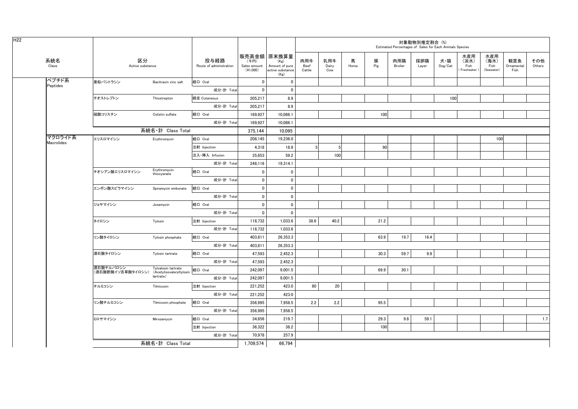| H <sub>22</sub> |         |                                                         |                             |                                 |                                    |                                                                   |                       |                     |            |          |                | 対象動物別推定割合 (%) | Estimated Percentages of Sales for Each Animals Species |                                    |                                   |                           |               |
|-----------------|---------|---------------------------------------------------------|-----------------------------|---------------------------------|------------------------------------|-------------------------------------------------------------------|-----------------------|---------------------|------------|----------|----------------|---------------|---------------------------------------------------------|------------------------------------|-----------------------------------|---------------------------|---------------|
| 系統名<br>Class    |         | 区分<br>Active substance                                  |                             | 投与経路<br>Route of administration | (千円)<br>Sales amount<br>$(*1,000)$ | 販売高金額 原末換算量<br>(Kg)<br>Amount of pure<br>active substance<br>(Kg) | 肉用牛<br>Beef<br>Cattle | 乳用牛<br>Dairy<br>Cow | 馬<br>Horse | 豚<br>Pig | 肉用鶏<br>Broiler | 採卵鶏<br>Layer  | 犬・猫<br>Dog/Cat                                          | 水産用<br>(淡水)<br>Fish<br>Freshwater) | 水産用<br>(海水)<br>Fish<br>(Seawater) | 観賞魚<br>Ornamental<br>Fish | その他<br>Others |
| ペプチド系           |         | 亜鉛バシトラシン                                                | Bacitracin zinc salt        | 経口 Oral                         | $\mathbf{0}$                       | $\mathbf 0$                                                       |                       |                     |            |          |                |               |                                                         |                                    |                                   |                           |               |
| Peptides        |         |                                                         |                             | 成分·計 Total                      | $\mathbf{0}$                       | $\mathbf{0}$                                                      |                       |                     |            |          |                |               |                                                         |                                    |                                   |                           |               |
|                 |         | チオストレプトン                                                | Thiostrepton                | 経皮 Cutaneous                    | 205,217                            | 8.9                                                               |                       |                     |            |          |                |               | 100                                                     |                                    |                                   |                           |               |
|                 |         |                                                         |                             | 成分·計 Total                      | 205,217                            | 8.9                                                               |                       |                     |            |          |                |               |                                                         |                                    |                                   |                           |               |
|                 |         | 硫酸コリスチン                                                 | Colistin sulfate            | 経口 Oral                         | 169,927                            | 10,086.1                                                          |                       |                     |            | 100      |                |               |                                                         |                                    |                                   |                           |               |
|                 |         |                                                         |                             | 成分·計 Total                      | 169,927                            | 10,086.1                                                          |                       |                     |            |          |                |               |                                                         |                                    |                                   |                           |               |
|                 |         |                                                         | 系統名·計 Class Total           |                                 | 375.144                            | 10.095                                                            |                       |                     |            |          |                |               |                                                         |                                    |                                   |                           |               |
|                 | マクロライド系 | エリスロマイシン                                                | Erythromycin                | 経口 Oral                         | 208,145                            | 19,236.0                                                          |                       |                     |            |          |                |               |                                                         |                                    | 100                               |                           |               |
| Macrolides      |         |                                                         |                             | 注射 Injection                    | 4,318                              | 18.9                                                              |                       | -5                  |            | 90       |                |               |                                                         |                                    |                                   |                           |               |
|                 |         |                                                         |                             | 注入·挿入 Infusion                  | 35,653                             | 59.2                                                              |                       | 100                 |            |          |                |               |                                                         |                                    |                                   |                           |               |
|                 |         |                                                         |                             | 成分·計 Total                      | 248,116                            | 19,314.1                                                          |                       |                     |            |          |                |               |                                                         |                                    |                                   |                           |               |
|                 |         | チオシアン酸エリスロマイシン                                          | Erythromycin<br>thiocyanate | 経口 Oral                         | $\mathbf 0$                        | $\mathbf{0}$                                                      |                       |                     |            |          |                |               |                                                         |                                    |                                   |                           |               |
|                 |         |                                                         |                             | 成分·計 Total                      | $\mathbf 0$                        | $\mathbf 0$                                                       |                       |                     |            |          |                |               |                                                         |                                    |                                   |                           |               |
|                 |         | エンボン酸スピラマイシン                                            | Spiramycin embonate         | 経口 Oral                         | $\mathbf 0$                        | $\mathbf{0}$                                                      |                       |                     |            |          |                |               |                                                         |                                    |                                   |                           |               |
|                 |         |                                                         |                             | 成分·計 Total                      | $\mathbf{0}$                       | $\mathbf{0}$                                                      |                       |                     |            |          |                |               |                                                         |                                    |                                   |                           |               |
|                 |         | ジョサマイシン                                                 | Josamycin                   | 経口 Oral                         | $\mathbf{0}$                       | $\mathbf{0}$                                                      |                       |                     |            |          |                |               |                                                         |                                    |                                   |                           |               |
|                 |         |                                                         |                             | 成分·計 Total                      | $\mathbf{0}$                       | $\mathbf 0$                                                       |                       |                     |            |          |                |               |                                                         |                                    |                                   |                           |               |
|                 |         | タイロシン                                                   | Tylosin                     | 注射 Injection                    | 118,732                            | 1,033.6                                                           | 38.6                  | 40.2                |            | 21.2     |                |               |                                                         |                                    |                                   |                           |               |
|                 |         |                                                         |                             | 成分·計 Total                      | 118,732                            | 1,033.6                                                           |                       |                     |            |          |                |               |                                                         |                                    |                                   |                           |               |
|                 |         | リン酸タイロシン                                                | Tylosin phosphate           | 経口 Oral                         | 403,811                            | 26,353.3                                                          |                       |                     |            | 63.9     | 19.7           | 16.4          |                                                         |                                    |                                   |                           |               |
|                 |         |                                                         |                             | 成分·計 Total                      | 403,811                            | 26,353.3                                                          |                       |                     |            |          |                |               |                                                         |                                    |                                   |                           |               |
|                 |         | 酒石酸タイロシン                                                | Tylosin tartrate            | 経口 Oral                         | 47,593                             | 2,452.3                                                           |                       |                     |            | 30.3     | 59.7           | 9.9           |                                                         |                                    |                                   |                           |               |
|                 |         |                                                         |                             | 成分·計 Total                      | 47,593                             | 2.452.3                                                           |                       |                     |            |          |                |               |                                                         |                                    |                                   |                           |               |
|                 |         | 酒石酸チルバロシン<br>(酒石酸酢酸イソ吉草酸タイロシン) (Acetylisovaleryltylosin | Tylvalosin tartrate         | 経口 Oral                         | 242,097                            | 9,001.5                                                           |                       |                     |            | 69.9     | 30.1           |               |                                                         |                                    |                                   |                           |               |
|                 |         |                                                         | tartrate)                   | 成分·計 Total                      | 242,097                            | 9,001.5                                                           |                       |                     |            |          |                |               |                                                         |                                    |                                   |                           |               |
|                 |         | チルミコシン                                                  | Tilmicosin                  | 注射 Injection                    | 221,252                            | 423.0                                                             | 80                    | 20                  |            |          |                |               |                                                         |                                    |                                   |                           |               |
|                 |         |                                                         |                             | 成分·計 Total                      | 221,252                            | 423.0                                                             |                       |                     |            |          |                |               |                                                         |                                    |                                   |                           |               |
|                 |         | リン酸チルミコシン                                               | Tilmicosin phosphate        | 経口 Oral                         | 356,995                            | 7,958.5                                                           | 2.2                   | 2.2                 |            | 95.5     |                |               |                                                         |                                    |                                   |                           |               |
|                 |         |                                                         |                             | 成分·計 Total                      | 356,995                            | 7,958.5                                                           |                       |                     |            |          |                |               |                                                         |                                    |                                   |                           |               |
|                 |         | ミロサマイシン                                                 | Mirosamycin                 | 経口 Oral                         | 34,656                             | 219.7                                                             |                       |                     |            | 29.3     | 9.8            | 59.1          |                                                         |                                    |                                   |                           | 1.7           |
|                 |         |                                                         |                             | 注射 Injection                    | 36,322                             | 38.2                                                              |                       |                     |            | 100      |                |               |                                                         |                                    |                                   |                           |               |
|                 |         |                                                         |                             | 成分·計 Total                      | 70,978                             | 257.9                                                             |                       |                     |            |          |                |               |                                                         |                                    |                                   |                           |               |
|                 |         |                                                         | 系統名·計 Class Total           |                                 | 1.709.574                          | 66.794                                                            |                       |                     |            |          |                |               |                                                         |                                    |                                   |                           |               |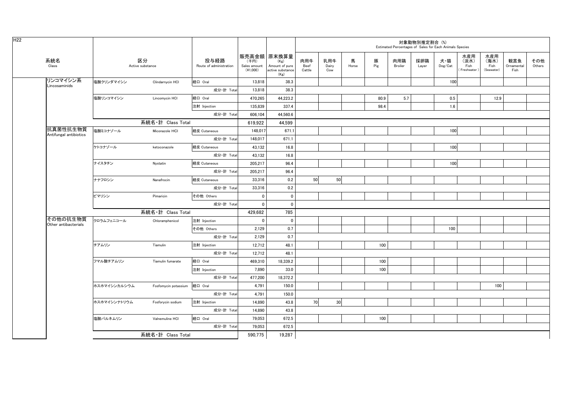|                                    |              |                        |                                 |                                    |                                                                   |                       |                     |            |          |                | 対象動物別推定割合 (%) | Estimated Percentages of Sales for Each Animals Species |                                   |                                   |                           |               |
|------------------------------------|--------------|------------------------|---------------------------------|------------------------------------|-------------------------------------------------------------------|-----------------------|---------------------|------------|----------|----------------|---------------|---------------------------------------------------------|-----------------------------------|-----------------------------------|---------------------------|---------------|
| 系統名<br>Class                       |              | 区分<br>Active substance | 投与経路<br>Route of administration | (千円)<br>Sales amount<br>$(*1,000)$ | 販売高金額 原末換算量<br>(Kg)<br>Amount of pure<br>active substance<br>(Kg) | 肉用牛<br>Beef<br>Cattle | 乳用牛<br>Dairy<br>Cow | 馬<br>Horse | 豚<br>Pig | 肉用鶏<br>Broiler | 採卵鶏<br>Layer  | 犬・猫<br>Dog/Cat                                          | 水産用<br>(淡水)<br>Fish<br>Freshwater | 水産用<br>(海水)<br>Fish<br>(Seawater) | 観賞魚<br>Ornamental<br>Fish | その他<br>Others |
| リンコマイシン系<br>Lincosaminids          | 塩酸クリンダマイシン   | Clindarnycin HCI       | 経口 Oral                         | 13,818                             | 38.3                                                              |                       |                     |            |          |                |               | 100                                                     |                                   |                                   |                           |               |
|                                    |              |                        | 成分·計 Total                      | 13,818                             | 38.3                                                              |                       |                     |            |          |                |               |                                                         |                                   |                                   |                           |               |
|                                    | 塩酸リンコマイシン    | Lincomycin HCI         | 経口 Oral                         | 470.265                            | 44,223.2                                                          |                       |                     |            | 80.9     | 5.7            |               | 0.5                                                     |                                   | 12.9                              |                           |               |
|                                    |              |                        | 注射 Injection                    | 135,839                            | 337.4                                                             |                       |                     |            | 98.4     |                |               | 1.6                                                     |                                   |                                   |                           |               |
|                                    |              |                        | 成分·計 Total                      | 606.104                            | 44.560.6                                                          |                       |                     |            |          |                |               |                                                         |                                   |                                   |                           |               |
|                                    |              | 系統名·計 Class Total      |                                 | 619,922                            | 44,599                                                            |                       |                     |            |          |                |               |                                                         |                                   |                                   |                           |               |
| 抗真菌性抗生物質<br>Antifungal antibiotics | 塩酸ミコナゾール     | Miconazole HCI         | 経皮 Cutaneous                    | 148,017                            | 671.1                                                             |                       |                     |            |          |                |               | 100                                                     |                                   |                                   |                           |               |
|                                    |              |                        | 成分·計 Total                      | 148,017                            | 671.1                                                             |                       |                     |            |          |                |               |                                                         |                                   |                                   |                           |               |
|                                    | ケトコナゾール      | ketoconazole           | 経皮 Cutaneous                    | 43,132                             | 16.8                                                              |                       |                     |            |          |                |               | 100                                                     |                                   |                                   |                           |               |
|                                    |              |                        | 成分·計 Total                      | 43,132                             | 16.8                                                              |                       |                     |            |          |                |               |                                                         |                                   |                                   |                           |               |
|                                    | ナイスタチン       | Nystatin               | 経皮 Cutaneous                    | 205,217                            | 96.4                                                              |                       |                     |            |          |                |               | 100                                                     |                                   |                                   |                           |               |
|                                    |              |                        | 成分·計 Total                      | 205,217                            | 96.4                                                              |                       |                     |            |          |                |               |                                                         |                                   |                                   |                           |               |
|                                    | ナナフロシン       | Nanafrocin             | 経皮 Cutaneous                    | 33,316                             | 0.2                                                               | 50                    | 50                  |            |          |                |               |                                                         |                                   |                                   |                           |               |
|                                    |              |                        | 成分·計 Total                      | 33.316                             | 0.2                                                               |                       |                     |            |          |                |               |                                                         |                                   |                                   |                           |               |
|                                    | ピマリシン        | Pimaricin              | その他 Others                      | $\mathbf 0$                        | $\mathbf 0$                                                       |                       |                     |            |          |                |               |                                                         |                                   |                                   |                           |               |
|                                    |              |                        | 成分·計 Total                      | $\mathbf 0$                        | $\mathbf 0$                                                       |                       |                     |            |          |                |               |                                                         |                                   |                                   |                           |               |
|                                    |              | 系統名·計 Class Total      |                                 | 429.682                            | 785                                                               |                       |                     |            |          |                |               |                                                         |                                   |                                   |                           |               |
| その他の抗生物質<br>Other antibacterials   | クロラムフェニコール   | Chloramphenicol        | 注射 Injection                    | $\mathbf{0}$                       | $\mathbf 0$                                                       |                       |                     |            |          |                |               |                                                         |                                   |                                   |                           |               |
|                                    |              |                        | その他 Others                      | 2,129                              | 0.7                                                               |                       |                     |            |          |                |               | 100                                                     |                                   |                                   |                           |               |
|                                    |              |                        | 成分·計 Total                      | 2,129                              | 0.7                                                               |                       |                     |            |          |                |               |                                                         |                                   |                                   |                           |               |
|                                    | チアムリン        | Tiamulin               | 注射 Injection                    | 12,712                             | 48.1                                                              |                       |                     |            | 100      |                |               |                                                         |                                   |                                   |                           |               |
|                                    |              |                        | 成分·計 Total                      | 12,712                             | 48.1                                                              |                       |                     |            |          |                |               |                                                         |                                   |                                   |                           |               |
|                                    | フマル酸チアムリン    | Tiamulin fumarate      | 経口 Oral                         | 469,310                            | 18,339.2                                                          |                       |                     |            | 100      |                |               |                                                         |                                   |                                   |                           |               |
|                                    |              |                        | 注射 Injection                    | 7,890                              | 33.0                                                              |                       |                     |            | 100      |                |               |                                                         |                                   |                                   |                           |               |
|                                    |              |                        | 成分·計 Total                      | 477,200                            | 18,372.2                                                          |                       |                     |            |          |                |               |                                                         |                                   |                                   |                           |               |
|                                    | ホスホマイシンカルシウム | Fosfomycin potassium   | 経口 Oral                         | 4,791                              | 150.0                                                             |                       |                     |            |          |                |               |                                                         |                                   | 100                               |                           |               |
|                                    |              |                        | 成分·計 Total                      | 4,791                              | 150.0                                                             |                       |                     |            |          |                |               |                                                         |                                   |                                   |                           |               |
|                                    | ホスホマイシンナトリウム | Fosforycin sodium      | 注射 Injection                    | 14,890                             | 43.8                                                              | 70                    | 30                  |            |          |                |               |                                                         |                                   |                                   |                           |               |
|                                    |              |                        | 成分·計 Total                      | 14,890                             | 43.8                                                              |                       |                     |            |          |                |               |                                                         |                                   |                                   |                           |               |
|                                    | 塩酸バルネムリン     | Valnemuline HCI        | 経口 Oral                         | 79,053                             | 672.5                                                             |                       |                     |            | 100      |                |               |                                                         |                                   |                                   |                           |               |
|                                    |              |                        | 成分·計 Total                      | 79,053                             | 672.5                                                             |                       |                     |            |          |                |               |                                                         |                                   |                                   |                           |               |
|                                    |              | 系統名·計 Class Total      |                                 | 590,775                            | 19,287                                                            |                       |                     |            |          |                |               |                                                         |                                   |                                   |                           |               |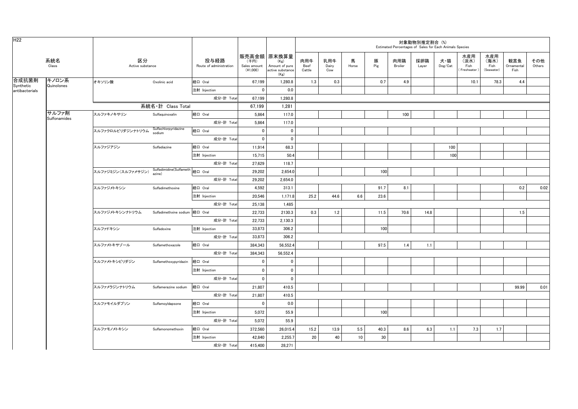| H <sub>22</sub>    |                       |                        |                                           |                                 |                                                   |                                                    |                       |                     |            |          | Estimated Percentages of Sales for Each Animals Species | 対象動物別推定割合 (%) |                                    |                                     |                                   |                           |               |
|--------------------|-----------------------|------------------------|-------------------------------------------|---------------------------------|---------------------------------------------------|----------------------------------------------------|-----------------------|---------------------|------------|----------|---------------------------------------------------------|---------------|------------------------------------|-------------------------------------|-----------------------------------|---------------------------|---------------|
|                    | 系統名<br>Class          | 区分<br>Active substance |                                           | 投与経路<br>Route of administration | 販売高金額 原末換算量<br>(千円)<br>Sales amount<br>$(*1,000)$ | (Kg)<br>Amount of pure<br>active substance<br>(Kg) | 肉用牛<br>Beef<br>Cattle | 乳用牛<br>Dairy<br>Cow | 馬<br>Horse | 豚<br>Pig | 肉用鶏<br>Broiler                                          | 採卵鶏<br>Layer  | 犬・猫<br>$\mathsf{Dog}/\mathsf{Cat}$ | 水産用<br>(淡水)<br>Fish<br>(Freshwater) | 水産用<br>(海水)<br>Fish<br>(Seawater) | 観賞魚<br>Ornamental<br>Fish | その他<br>Others |
| 合成抗菌剤<br>Synthetic | キノロン系<br>Quinolones   | オキソリン酸                 | Oxolinic acid                             | 経口 Oral                         | 67,199                                            | 1,280.8                                            | 1.3                   | 0.3                 |            | 0.7      | 4.9                                                     |               |                                    | 10.1                                | 78.3                              | 4.4                       |               |
| antibacterials     |                       |                        |                                           | 注射 Injection                    | $\mathbf 0$                                       | 0.0                                                |                       |                     |            |          |                                                         |               |                                    |                                     |                                   |                           |               |
|                    |                       |                        |                                           | 成分·計 Total                      | 67,199                                            | 1,280.8                                            |                       |                     |            |          |                                                         |               |                                    |                                     |                                   |                           |               |
|                    |                       |                        | 系統名·計 Class Total                         |                                 | 67,199                                            | 1,281                                              |                       |                     |            |          |                                                         |               |                                    |                                     |                                   |                           |               |
|                    | サルファ剤<br>Sulfonamides | スルファキノキサリン             | Sulfaquinoxalin                           | 経口 Oral                         | 5,864                                             | 117.0                                              |                       |                     |            |          | 100                                                     |               |                                    |                                     |                                   |                           |               |
|                    |                       |                        |                                           | 成分·計 Total                      | 5,864                                             | 117.0                                              |                       |                     |            |          |                                                         |               |                                    |                                     |                                   |                           |               |
|                    |                       | スルファクロルピリダジンナトリウム      | Sulfachlorpyridazine<br>sodium            | 経口 Oral                         | $\mathbf 0$                                       | $\mathbf 0$                                        |                       |                     |            |          |                                                         |               |                                    |                                     |                                   |                           |               |
|                    |                       |                        |                                           | 成分·計 Total                      | $\mathbf{0}$                                      | $\mathbf{0}$                                       |                       |                     |            |          |                                                         |               |                                    |                                     |                                   |                           |               |
|                    |                       | スルファジアジン               | Sulfadiazine                              | 経口 Oral                         | 11,914                                            | 68.3                                               |                       |                     |            |          |                                                         |               | 100                                |                                     |                                   |                           |               |
|                    |                       |                        |                                           | 注射 Injection                    | 15.715                                            | 50.4                                               |                       |                     |            |          |                                                         |               | 100                                |                                     |                                   |                           |               |
|                    |                       |                        |                                           | 成分·計 Total                      | 27,629                                            | 118.7                                              |                       |                     |            |          |                                                         |               |                                    |                                     |                                   |                           |               |
|                    |                       | スルファジミジン (スルファメサジン)    | Sulfadimidine(Sulfameth 経口 Oral<br>azine) |                                 | 29,202                                            | 2,654.0                                            |                       |                     |            | 100      |                                                         |               |                                    |                                     |                                   |                           |               |
|                    |                       |                        |                                           | 成分·計 Total                      | 29,202                                            | 2,654.0                                            |                       |                     |            |          |                                                         |               |                                    |                                     |                                   |                           |               |
|                    |                       | スルファジメトキシン             | Sulfadimethoxine                          | 経口 Oral                         | 4,592                                             | 313.1                                              |                       |                     |            | 91.7     | 8.1                                                     |               |                                    |                                     |                                   | 0.2                       | 0.02          |
|                    |                       |                        |                                           | 注射 Injection                    | 20,546                                            | 1,171.8                                            | 25.2                  | 44.6                | 6.6        | 23.6     |                                                         |               |                                    |                                     |                                   |                           |               |
|                    |                       |                        |                                           | 成分·計 Total                      | 25,138                                            | 1,485                                              |                       |                     |            |          |                                                         |               |                                    |                                     |                                   |                           |               |
|                    |                       | スルファジメトキシンナトリウム        |                                           |                                 | 22,733                                            | 2130.3                                             | 0.3                   | 1.2                 |            | 11.5     | 70.6                                                    | 14.8          |                                    |                                     |                                   | 1.5                       |               |
|                    |                       |                        |                                           | 成分·計 Total                      | 22,733                                            | 2,130.3                                            |                       |                     |            |          |                                                         |               |                                    |                                     |                                   |                           |               |
|                    |                       | スルファドキシン               | Sulfadoxine                               | 注射 Injection                    | 33,873                                            | 306.2                                              |                       |                     |            | 100      |                                                         |               |                                    |                                     |                                   |                           |               |
|                    |                       |                        |                                           | 成分·計 Total                      | 33.873                                            | 306.2                                              |                       |                     |            |          |                                                         |               |                                    |                                     |                                   |                           |               |
|                    |                       | スルファメトキサゾール            | Sulfamethoxazole                          | 経口 Oral                         | 384,343                                           | 56,552.4                                           |                       |                     |            | 97.5     | 1.4                                                     | 1.1           |                                    |                                     |                                   |                           |               |
|                    |                       |                        |                                           | 成分·計 Total                      | 384,343                                           | 56,552.4                                           |                       |                     |            |          |                                                         |               |                                    |                                     |                                   |                           |               |
|                    |                       | スルファメトキシピリダジン          | Sulfamethoxypyridazin                     | 経口 Oral                         | $\mathbf{0}$                                      | $\mathbf{0}$                                       |                       |                     |            |          |                                                         |               |                                    |                                     |                                   |                           |               |
|                    |                       |                        |                                           | 注射 Injection                    | $\mathbf 0$                                       | $\mathbf 0$                                        |                       |                     |            |          |                                                         |               |                                    |                                     |                                   |                           |               |
|                    |                       |                        |                                           | 成分·計 Total                      | $\mathbf 0$                                       | $\mathbf{0}$                                       |                       |                     |            |          |                                                         |               |                                    |                                     |                                   |                           |               |
|                    |                       | スルファメラジンナトリウム          | Sulfamerazine sodium                      | 経口 Oral                         | 21,807                                            | 410.5                                              |                       |                     |            |          |                                                         |               |                                    |                                     |                                   | 99.99                     | 0.01          |
|                    |                       |                        |                                           | 成分·計 Total                      | 21,807                                            | 410.5                                              |                       |                     |            |          |                                                         |               |                                    |                                     |                                   |                           |               |
|                    |                       | スルファモイルダプソン            | SulfamoyIdapsone                          | 経口 Oral                         | $\mathbf 0$                                       | 0.0                                                |                       |                     |            |          |                                                         |               |                                    |                                     |                                   |                           |               |
|                    |                       |                        |                                           | 注射 Injection                    | 5,072                                             | 55.9                                               |                       |                     |            | 100      |                                                         |               |                                    |                                     |                                   |                           |               |
|                    |                       |                        |                                           | 成分·計 Total                      | 5,072                                             | 55.9                                               |                       |                     |            |          |                                                         |               |                                    |                                     |                                   |                           |               |
|                    |                       | スルファモノメトキシン            | Sulfamonomethoxin                         | 経口 Oral                         | 372,560                                           | 26,015.4                                           | 15.2                  | 13.9                | 5.5        | 40.3     | 8.6                                                     | 6.3           | 1.1                                | 7.3                                 | 1.7                               |                           |               |
|                    |                       |                        |                                           | 注射 Injection                    | 42,840                                            | 2,255.7                                            | 20                    | 40                  | 10         | 30       |                                                         |               |                                    |                                     |                                   |                           |               |
|                    |                       |                        |                                           | 成分·計 Total                      | 415,400                                           | 28,271                                             |                       |                     |            |          |                                                         |               |                                    |                                     |                                   |                           |               |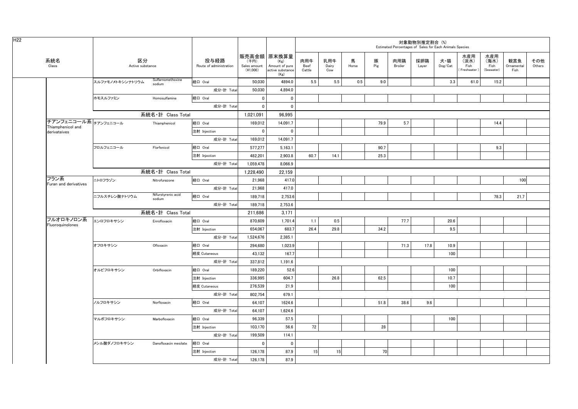|                                           |                        |                              |                                 |                                    |                                                                   |                       |                     |            |          |                | 対象動物別推定割合(%) | Estimated Percentages of Sales for Each Animals Species |                                     |                                   |                           |               |
|-------------------------------------------|------------------------|------------------------------|---------------------------------|------------------------------------|-------------------------------------------------------------------|-----------------------|---------------------|------------|----------|----------------|--------------|---------------------------------------------------------|-------------------------------------|-----------------------------------|---------------------------|---------------|
| 系統名<br>Class                              | 区分<br>Active substance |                              | 投与経路<br>Route of administration | (千円)<br>Sales amount<br>$(*1,000)$ | 販売高金額 原末換算量<br>(Kg)<br>Amount of pure<br>active substance<br>(Kg) | 肉用牛<br>Beef<br>Cattle | 乳用牛<br>Dairy<br>Cow | 馬<br>Horse | 豚<br>Pig | 肉用鶏<br>Broiler | 採卵鶏<br>Layer | 犬・猫<br>Dog/Cat                                          | 水産用<br>(淡水)<br>Fish<br>(Freshwater) | 水産用<br>(海水)<br>Fish<br>(Seawater) | 観賞魚<br>Ornamental<br>Fish | その他<br>Others |
|                                           | スルファモノメトキシンナトリウム       | Sulfarnomethoxine<br>sodium  | 経口 Oral                         | 50,030                             | 4894.0                                                            | 5.5                   | 5.5                 | 0.5        | 9.0      |                |              | 3.3                                                     | 61.0                                | 15.2                              |                           |               |
|                                           |                        |                              | 成分·計 Total                      | 50,030                             | 4,894.0                                                           |                       |                     |            |          |                |              |                                                         |                                     |                                   |                           |               |
|                                           | ホモスルファミン               | Homosulfamine                | 経口 Oral                         | 0                                  | 0                                                                 |                       |                     |            |          |                |              |                                                         |                                     |                                   |                           |               |
|                                           |                        |                              | 成分·計 Total                      | $\overline{\mathbf{0}}$            | $\mathbf 0$                                                       |                       |                     |            |          |                |              |                                                         |                                     |                                   |                           |               |
|                                           |                        | 系統名·計 Class Total            |                                 | 1,021,091                          | 96.995                                                            |                       |                     |            |          |                |              |                                                         |                                     |                                   |                           |               |
| チアンフェニコール系 チアンフェニコール<br>Thiamphenicol and |                        | Thiamphenicol                | 経口 Oral                         | 169,012                            | 14,091.7                                                          |                       |                     |            | 79.9     | 5.7            |              |                                                         |                                     | 14.4                              |                           |               |
| derivateives                              |                        |                              | 注射 Injection                    | $\overline{\mathbf{0}}$            | 0                                                                 |                       |                     |            |          |                |              |                                                         |                                     |                                   |                           |               |
|                                           |                        |                              | 成分·計 Total                      | 169,012                            | 14,091.7                                                          |                       |                     |            |          |                |              |                                                         |                                     |                                   |                           |               |
|                                           | フロルフェニコール              | Florfenicol                  | 経口 Oral                         | 577.277                            | 5.163.1                                                           |                       |                     |            | 90.7     |                |              |                                                         |                                     | 9.3                               |                           |               |
|                                           |                        |                              | 注射 Injection                    | 482.201                            | 2.903.8                                                           | 60.7                  | 14.1                |            | 25.3     |                |              |                                                         |                                     |                                   |                           |               |
|                                           |                        |                              | 成分·計 Total                      | 1,059,478                          | 8,066.9                                                           |                       |                     |            |          |                |              |                                                         |                                     |                                   |                           |               |
|                                           |                        | 系統名·計 Class Total            |                                 | 1,228,490                          | 22,159                                                            |                       |                     |            |          |                |              |                                                         |                                     |                                   |                           |               |
| フラン系<br>Furan and derivatives             | ニトロフラゾン                | Nitrofurazone                | 経口 Oral                         | 21,968                             | 417.0                                                             |                       |                     |            |          |                |              |                                                         |                                     |                                   | 100                       |               |
|                                           |                        |                              | 成分·計 Total                      | 21.968                             | 417.0                                                             |                       |                     |            |          |                |              |                                                         |                                     |                                   |                           |               |
|                                           | ニフルスチレン酸ナトリウム          | Nifurstyrenic acid<br>sodium | 経口 Oral                         | 189,718                            | 2,753.6                                                           |                       |                     |            |          |                |              |                                                         |                                     | 78.3                              | 21.7                      |               |
|                                           |                        |                              | 成分·計 Total                      | 189,718                            | 2,753.6                                                           |                       |                     |            |          |                |              |                                                         |                                     |                                   |                           |               |
|                                           |                        | 系統名·計 Class Total            |                                 | 211,686                            | 3,171                                                             |                       |                     |            |          |                |              |                                                         |                                     |                                   |                           |               |
| フルオロキノロン系                                 | エンロフロキサシン              | Enrofloxacin                 | 経口 Oral                         | 870,609                            | 1,701.4                                                           | 1.1                   | 0.5                 |            |          | 77.7           |              | 20.6                                                    |                                     |                                   |                           |               |
| Fluoroquinolones                          |                        |                              | 注射 Injection                    | 654,067                            | 683.7                                                             | 26.4                  | 29.8                |            | 34.2     |                |              | 9.5                                                     |                                     |                                   |                           |               |
|                                           |                        |                              | 成分·計 Total                      | 1,524,676                          | 2,385.1                                                           |                       |                     |            |          |                |              |                                                         |                                     |                                   |                           |               |
|                                           | オフロキサシン                | Ofloxacin                    | 経口 Oral                         | 294,680                            | 1,023.9                                                           |                       |                     |            |          | 71.3           | 17.8         | 10.9                                                    |                                     |                                   |                           |               |
|                                           |                        |                              | 経皮 Cutaneous                    | 43,132                             | 167.7                                                             |                       |                     |            |          |                |              | 100                                                     |                                     |                                   |                           |               |
|                                           |                        |                              | 成分·計 Total                      | 337,812                            | 1,191.6                                                           |                       |                     |            |          |                |              |                                                         |                                     |                                   |                           |               |
|                                           | オルビフロキサシン              | Orbifloxacin                 | 経口 Oral                         | 189,220                            | 52.6                                                              |                       |                     |            |          |                |              | 100                                                     |                                     |                                   |                           |               |
|                                           |                        |                              | 注射 Injection                    | 336,995                            | 604.7                                                             |                       | 26.8                |            | 62.5     |                |              | 10.7                                                    |                                     |                                   |                           |               |
|                                           |                        |                              | 経皮 Cutaneous                    | 276.539                            | 21.9                                                              |                       |                     |            |          |                |              | 100                                                     |                                     |                                   |                           |               |
|                                           |                        |                              | 成分·計 Total                      | 802,754                            | 679.1                                                             |                       |                     |            |          |                |              |                                                         |                                     |                                   |                           |               |
|                                           | ノルフロキサシン               | Norfloxacin                  | 経口 Oral                         | 64,107                             | 1624.6                                                            |                       |                     |            | 51.8     | 38.6           | 9.6          |                                                         |                                     |                                   |                           |               |
|                                           |                        |                              | 成分·計 Total                      | 64.107                             | 1,624.6                                                           |                       |                     |            |          |                |              |                                                         |                                     |                                   |                           |               |
|                                           | マルボフロキサシン              | Marbofloxacin                | 経口 Oral                         | 96,339                             | 57.5                                                              |                       |                     |            |          |                |              | 100                                                     |                                     |                                   |                           |               |
|                                           |                        |                              | 注射 Injection                    | 103.170                            | 56.6                                                              | 72                    |                     |            | 28       |                |              |                                                         |                                     |                                   |                           |               |
|                                           |                        |                              | 成分·計 Total                      | 199,509                            | 114.1                                                             |                       |                     |            |          |                |              |                                                         |                                     |                                   |                           |               |
|                                           | メシル酸ダノフロキサシン           | Danofloxacin mesilate        | 経口 Oral                         | $\overline{\mathbf{0}}$            | $\mathbf 0$                                                       |                       |                     |            |          |                |              |                                                         |                                     |                                   |                           |               |
|                                           |                        |                              | 注射 Injection                    | 126.178                            | 87.9                                                              | 15                    | 15                  |            | 70       |                |              |                                                         |                                     |                                   |                           |               |
|                                           |                        |                              | 成分·計 Total                      | 126.178                            | 87.9                                                              |                       |                     |            |          |                |              |                                                         |                                     |                                   |                           |               |
|                                           |                        |                              |                                 |                                    |                                                                   |                       |                     |            |          |                |              |                                                         |                                     |                                   |                           |               |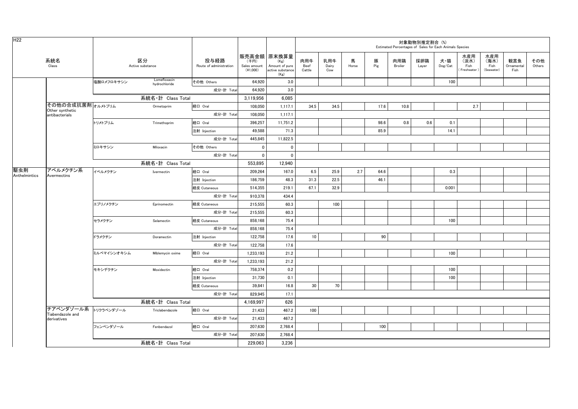| H <sub>22</sub>      |                                                 |             |                               |                                 |                                  |                                                                   |                       |                     |            |          | Estimated Percentages of Sales for Each Animals Species | 対象動物別推定割合 (%) |                |                                   |                                   |                           |               |
|----------------------|-------------------------------------------------|-------------|-------------------------------|---------------------------------|----------------------------------|-------------------------------------------------------------------|-----------------------|---------------------|------------|----------|---------------------------------------------------------|---------------|----------------|-----------------------------------|-----------------------------------|---------------------------|---------------|
|                      | 系統名<br>Class                                    |             | 区分<br>Active substance        | 投与経路<br>Route of administration | (千円)<br>Sales amount<br>(41,000) | 販売高金額 原末換算量<br>(Kg)<br>Amount of pure<br>active substance<br>(Kg) | 肉用牛<br>Beef<br>Cattle | 乳用牛<br>Dairy<br>Cow | 馬<br>Horse | 豚<br>Pig | 肉用鶏<br>Broiler                                          | 採卵鶏<br>Layer  | 犬・猫<br>Dog/Cat | 水産用<br>(淡水)<br>Fish<br>Freshwater | 水産用<br>(海水)<br>Fish<br>(Seawater) | 観賞魚<br>Ornamental<br>Fish | その他<br>Others |
|                      |                                                 | 塩酸ロメフロキサシン  | Lomefloxacin<br>hydrochloride | その他 Others                      | 64,920                           | 3.0                                                               |                       |                     |            |          |                                                         |               | 100            |                                   |                                   |                           |               |
|                      |                                                 |             |                               | 成分·計 Total                      | 64.920                           | 3.0                                                               |                       |                     |            |          |                                                         |               |                |                                   |                                   |                           |               |
|                      |                                                 |             | 系統名·計 Class Total             |                                 | 3,119,956                        | 6,085                                                             |                       |                     |            |          |                                                         |               |                |                                   |                                   |                           |               |
|                      | その他の合成抗菌剤 <sub>オルメトプリム</sub><br>Other synthetic |             | Ormetoprim                    | 経口 Oral                         | 108,050                          | 1,117.1                                                           | 34.5                  | 34.5                |            | 17.6     | 10.8                                                    |               |                | 2.7                               |                                   |                           |               |
|                      | antibacterials                                  |             |                               | 成分·計 Total                      | 108,050                          | 1,117.1                                                           |                       |                     |            |          |                                                         |               |                |                                   |                                   |                           |               |
|                      |                                                 | トリメトプリム     | Trimethoprim                  | 経口 Oral                         | 396,257                          | 11,751.2                                                          |                       |                     |            | 98.6     | 0.8                                                     | 0.6           | 0.1            |                                   |                                   |                           |               |
|                      |                                                 |             |                               | 注射 Injection                    | 49,588                           | 71.3                                                              |                       |                     |            | 85.9     |                                                         |               | 14.1           |                                   |                                   |                           |               |
|                      |                                                 |             |                               | 成分·計 Total                      | 445,845                          | 11,822.5                                                          |                       |                     |            |          |                                                         |               |                |                                   |                                   |                           |               |
|                      |                                                 | ミロキサシン      | Miloxacin                     | その他 Others                      | $\mathbf 0$                      | $\mathbf 0$                                                       |                       |                     |            |          |                                                         |               |                |                                   |                                   |                           |               |
|                      |                                                 |             |                               | 成分·計 Total                      | $\mathbf 0$                      | $\mathbf 0$                                                       |                       |                     |            |          |                                                         |               |                |                                   |                                   |                           |               |
|                      |                                                 |             | 系統名·計 Class Total             |                                 | 553,895                          | 12,940                                                            |                       |                     |            |          |                                                         |               |                |                                   |                                   |                           |               |
| 駆虫剤<br>Anthelmintics | アベルメクチン系<br>Avermectins                         | イベルメクチン     | Ivermectin                    | 経口 Oral                         | 209,264                          | 167.0                                                             | 6.5                   | 25.9                | 2.7        | 64.6     |                                                         |               | 0.3            |                                   |                                   |                           |               |
|                      |                                                 |             |                               | 注射 Injection                    | 186,759                          | 48.3                                                              | 31.3                  | 22.5                |            | 46.1     |                                                         |               |                |                                   |                                   |                           |               |
|                      |                                                 |             |                               | 経皮 Cutaneous                    | 514,355                          | 219.1                                                             | 67.1                  | 32.9                |            |          |                                                         |               | 0.001          |                                   |                                   |                           |               |
|                      |                                                 |             |                               | 成分·計 Total                      | 910,378                          | 434.4                                                             |                       |                     |            |          |                                                         |               |                |                                   |                                   |                           |               |
|                      |                                                 | エプリノメクチン    | Eprinomectin                  | 経皮 Cutaneous                    | 215,555                          | 60.3                                                              |                       | 100                 |            |          |                                                         |               |                |                                   |                                   |                           |               |
|                      |                                                 |             |                               | 成分·計 Total                      | 215,555                          | 60.3                                                              |                       |                     |            |          |                                                         |               |                |                                   |                                   |                           |               |
|                      |                                                 | セラメクチン      | Selamectin                    | 経皮 Cutaneous                    | 858,168                          | 75.4                                                              |                       |                     |            |          |                                                         |               | 100            |                                   |                                   |                           |               |
|                      |                                                 |             |                               | 成分·計 Total                      | 858,168                          | 75.4                                                              |                       |                     |            |          |                                                         |               |                |                                   |                                   |                           |               |
|                      |                                                 | ドラメクチン      | Doramectin                    | 注射 Injection                    | 122,758                          | 17.6                                                              | 10                    |                     |            | 90       |                                                         |               |                |                                   |                                   |                           |               |
|                      |                                                 |             |                               | 成分·計 Total                      | 122,758                          | 17.6                                                              |                       |                     |            |          |                                                         |               |                |                                   |                                   |                           |               |
|                      |                                                 | ミルベマイシンオキシム | Miblemycin oxime              | 経口 Oral                         | 1,233,193                        | 21.2                                                              |                       |                     |            |          |                                                         |               | 100            |                                   |                                   |                           |               |
|                      |                                                 |             |                               | 成分·計 Total                      | 1,233,193                        | 21.2                                                              |                       |                     |            |          |                                                         |               |                |                                   |                                   |                           |               |
|                      |                                                 | モキシデクチン     | Moxidectin                    | 経口 Oral                         | 758,374                          | 0.2                                                               |                       |                     |            |          |                                                         |               | 100            |                                   |                                   |                           |               |
|                      |                                                 |             |                               | 注射 Injection                    | 31,730                           | 0.1                                                               |                       |                     |            |          |                                                         |               | 100            |                                   |                                   |                           |               |
|                      |                                                 |             |                               | 経皮 Cutaneous                    | 39,841                           | 16.8                                                              | 30                    | 70                  |            |          |                                                         |               |                |                                   |                                   |                           |               |
|                      |                                                 |             |                               | 成分·計 Total                      | 829,945                          | 17.1                                                              |                       |                     |            |          |                                                         |               |                |                                   |                                   |                           |               |
|                      |                                                 |             | 系統名·計 Class Total             |                                 | 4,169,997                        | 626                                                               |                       |                     |            |          |                                                         |               |                |                                   |                                   |                           |               |
|                      | チアベンダゾール系<br>Tiabendazole and                   | トリクラベンダゾール  | Triclabendazole               | 経口 Oral                         | 21,433                           | 467.2                                                             | 100                   |                     |            |          |                                                         |               |                |                                   |                                   |                           |               |
|                      | derivatives                                     |             |                               | 成分·計 Total                      | 21,433                           | 467.2                                                             |                       |                     |            |          |                                                         |               |                |                                   |                                   |                           |               |
|                      |                                                 | フェンベンダゾール   | Fenbendazol                   | 経口 Oral                         | 207,630                          | 2,768.4                                                           |                       |                     |            | 100      |                                                         |               |                |                                   |                                   |                           |               |
|                      |                                                 |             |                               | 成分·計 Total                      | 207,630                          | 2,768.4                                                           |                       |                     |            |          |                                                         |               |                |                                   |                                   |                           |               |
|                      |                                                 |             | 系統名·計 Class Total             |                                 | 229.063                          | 3,236                                                             |                       |                     |            |          |                                                         |               |                |                                   |                                   |                           |               |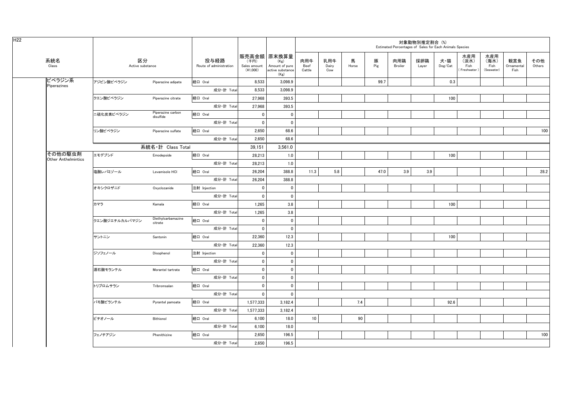| H <sub>22</sub>                       |            |                        |                                |                                 |                                    |                                                                   |                       |                     |            |          | Estimated Percentages of Sales for Each Animals Species | 対象動物別推定割合 (%) |                |                                     |                                   |                           |               |
|---------------------------------------|------------|------------------------|--------------------------------|---------------------------------|------------------------------------|-------------------------------------------------------------------|-----------------------|---------------------|------------|----------|---------------------------------------------------------|---------------|----------------|-------------------------------------|-----------------------------------|---------------------------|---------------|
| 系統名<br>Class                          |            | 区分<br>Active substance |                                | 投与経路<br>Route of administration | (千円)<br>Sales amount<br>$(*1,000)$ | 販売高金額 原末換算量<br>(Kg)<br>Amount of pure<br>active substance<br>(Kg) | 肉用牛<br>Beef<br>Cattle | 乳用牛<br>Dairy<br>Cow | 馬<br>Horse | 豚<br>Pig | 肉用鶏<br>Broiler                                          | 採卵鶏<br>Layer  | 犬・猫<br>Dog/Cat | 水産用<br>(淡水)<br>Fish<br>(Freshwater) | 水産用<br>(海水)<br>Fish<br>(Seawater) | 観賞魚<br>Ornamental<br>Fish | その他<br>Others |
| ピペラジン系<br>Piperazines                 | アジピン酸ピペラジン |                        | Piperazine adipate             | 経口 Oral                         | 8,533                              | 3,098.9                                                           |                       |                     |            | 99.7     |                                                         |               | 0.3            |                                     |                                   |                           |               |
|                                       |            |                        |                                | 成分·計 Total                      | 8,533                              | 3,098.9                                                           |                       |                     |            |          |                                                         |               |                |                                     |                                   |                           |               |
|                                       | クエン酸ピペラジン  |                        | Piperazine citrate             | 経口 Oral                         | 27,968                             | 393.5                                                             |                       |                     |            |          |                                                         |               | 100            |                                     |                                   |                           |               |
|                                       |            |                        |                                | 成分·計 Total                      | 27,968                             | 393.5                                                             |                       |                     |            |          |                                                         |               |                |                                     |                                   |                           |               |
|                                       | 二硫化炭素ピペラジン |                        | Piperazine carbon<br>disulfide | 経口 Oral                         | $\mathbf{0}$                       | $\mathbf{0}$                                                      |                       |                     |            |          |                                                         |               |                |                                     |                                   |                           |               |
|                                       |            |                        |                                | 成分·計 Total                      | $\mathbf 0$                        | $\mathbf 0$                                                       |                       |                     |            |          |                                                         |               |                |                                     |                                   |                           |               |
|                                       | リン酸ピペラジン   |                        | Piperazine sulfate             | 経口 Oral                         | 2,650                              | 68.6                                                              |                       |                     |            |          |                                                         |               |                |                                     |                                   |                           | 100           |
|                                       |            |                        |                                | 成分·計 Total                      | 2,650                              | 68.6                                                              |                       |                     |            |          |                                                         |               |                |                                     |                                   |                           |               |
|                                       |            |                        | 系統名·計 Class Total              |                                 | 39,151                             | 3,561.0                                                           |                       |                     |            |          |                                                         |               |                |                                     |                                   |                           |               |
| その他の駆虫剤<br><b>Other Anthelmintics</b> | エモデプシド     |                        | Emodepside                     | 経口 Oral                         | 28,213                             | 1.0                                                               |                       |                     |            |          |                                                         |               | 100            |                                     |                                   |                           |               |
|                                       |            |                        |                                | 成分·計 Total                      | 28,213                             | 1.0                                                               |                       |                     |            |          |                                                         |               |                |                                     |                                   |                           |               |
|                                       | 塩酸レバミゾール   |                        | Levamisole HCI                 | 経口 Oral                         | 26.204                             | 388.8                                                             | 11.3                  | 5.8                 |            | 47.0     | 3.9                                                     | 3.9           |                |                                     |                                   |                           | 28.2          |
|                                       |            |                        |                                | 成分·計 Total                      | 26,204                             | 388.8                                                             |                       |                     |            |          |                                                         |               |                |                                     |                                   |                           |               |
|                                       | オキシクロザニド   |                        | Oxyclozanide                   | 注射 Injection                    | $\mathbf 0$                        | $\mathbf 0$                                                       |                       |                     |            |          |                                                         |               |                |                                     |                                   |                           |               |
|                                       |            |                        |                                | 成分·計 Total                      | $\mathbf 0$                        | $\mathbf 0$                                                       |                       |                     |            |          |                                                         |               |                |                                     |                                   |                           |               |
|                                       | カマラ        |                        | Kamala                         | 経口 Oral                         | 1,265                              | 3.8                                                               |                       |                     |            |          |                                                         |               | 100            |                                     |                                   |                           |               |
|                                       |            |                        |                                | 成分·計 Total                      | 1,265                              | 3.8                                                               |                       |                     |            |          |                                                         |               |                |                                     |                                   |                           |               |
|                                       |            | クエン酸ジエチルカルバマジン         | Diethylcarbamazine<br>citrate  | 経口 Oral                         | $\mathbf{0}$                       | $\mathbf{0}$                                                      |                       |                     |            |          |                                                         |               |                |                                     |                                   |                           |               |
|                                       |            |                        |                                | 成分·計 Total                      | $\mathbf{0}$                       | $\mathbf{0}$                                                      |                       |                     |            |          |                                                         |               |                |                                     |                                   |                           |               |
|                                       | サントニン      |                        | Santonin                       | 経口 Oral                         | 22,360                             | 12.3                                                              |                       |                     |            |          |                                                         |               | 100            |                                     |                                   |                           |               |
|                                       |            |                        |                                | 成分·計 Total                      | 22,360                             | 12.3                                                              |                       |                     |            |          |                                                         |               |                |                                     |                                   |                           |               |
|                                       | ジソフェノール    |                        | Disophenol                     | 注射 Injection                    | $\mathbf 0$                        | $\mathbf 0$                                                       |                       |                     |            |          |                                                         |               |                |                                     |                                   |                           |               |
|                                       |            |                        |                                | 成分·計 Total                      | $\pmb{0}$                          | $\pmb{0}$                                                         |                       |                     |            |          |                                                         |               |                |                                     |                                   |                           |               |
|                                       | 酒石酸モランテル   |                        | Morantel tartrate              | 経口 Oral                         | $\mathbf 0$                        | $\mathbf 0$                                                       |                       |                     |            |          |                                                         |               |                |                                     |                                   |                           |               |
|                                       |            |                        |                                | 成分·計 Total                      | $\mathbf 0$                        | $\mathbf{0}$                                                      |                       |                     |            |          |                                                         |               |                |                                     |                                   |                           |               |
|                                       | トリブロムサラン   |                        | Tribromsalan                   | 経口 Oral                         | $\mathbf{0}$                       | $\mathbf{0}$                                                      |                       |                     |            |          |                                                         |               |                |                                     |                                   |                           |               |
|                                       |            |                        |                                | 成分·計 Total                      | $\mathbf 0$                        | $\mathbf 0$                                                       |                       |                     |            |          |                                                         |               |                |                                     |                                   |                           |               |
|                                       | パモ酸ピランテル   |                        | Pyrantel pamoate               | 経口 Oral                         | 1,577,333                          | 3,182.4                                                           |                       |                     | 7.4        |          |                                                         |               | 92.6           |                                     |                                   |                           |               |
|                                       |            |                        |                                | 成分·計 Total                      | 1,577,333                          | 3,182.4                                                           |                       |                     |            |          |                                                         |               |                |                                     |                                   |                           |               |
|                                       | ビチオノール     |                        | Bithionol                      | 経口 Oral                         | 6,100                              | 18.0                                                              | 10                    |                     | 90         |          |                                                         |               |                |                                     |                                   |                           |               |
|                                       |            |                        |                                | 成分·計 Total                      | 6,100                              | 18.0                                                              |                       |                     |            |          |                                                         |               |                |                                     |                                   |                           |               |
|                                       | フェノチアジン    |                        | Phenithizine                   | 経口 Oral                         | 2,650                              | 196.5                                                             |                       |                     |            |          |                                                         |               |                |                                     |                                   |                           | 100           |
|                                       |            |                        |                                | 成分·計 Total                      | 2.650                              | 196.5                                                             |                       |                     |            |          |                                                         |               |                |                                     |                                   |                           |               |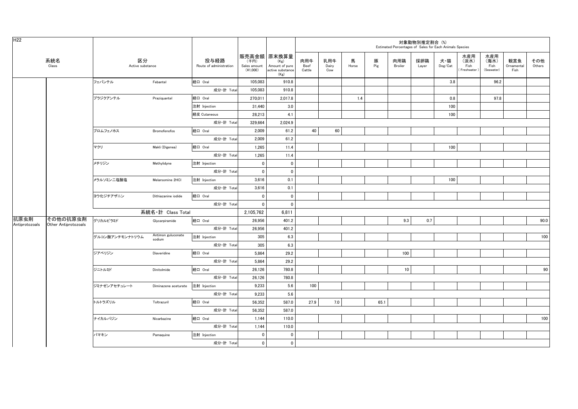| H <sub>22</sub> |                                  |                        |                              |                                 |                                  |                                                                   |                       |                     |            |          | Estimated Percentages of Sales for Each Animals Species | 対象動物別推定割合 (%) |                |                                     |                                   |                           |               |
|-----------------|----------------------------------|------------------------|------------------------------|---------------------------------|----------------------------------|-------------------------------------------------------------------|-----------------------|---------------------|------------|----------|---------------------------------------------------------|---------------|----------------|-------------------------------------|-----------------------------------|---------------------------|---------------|
|                 | 系統名<br>Class                     | 区分<br>Active substance |                              | 投与経路<br>Route of administration | (千円)<br>Sales amount<br>(41,000) | 販売高金額 原末換算量<br>(Kg)<br>Amount of pure<br>active substance<br>(Kg) | 肉用牛<br>Beef<br>Cattle | 乳用牛<br>Dairy<br>Cow | 馬<br>Horse | 豚<br>Pig | 肉用鶏<br>Broiler                                          | 採卵鶏<br>Layer  | 犬・猫<br>Dog/Cat | 水産用<br>(淡水)<br>Fish<br>(Freshwater) | 水産用<br>(海水)<br>Fish<br>(Seawater) | 観賞魚<br>Ornamental<br>Fish | その他<br>Others |
|                 |                                  | フェバンテル                 | Febantel                     | 経口 Oral                         | 105,083                          | 910.8                                                             |                       |                     |            |          |                                                         |               | 3.8            |                                     | 96.2                              |                           |               |
|                 |                                  |                        |                              | 成分·計 Total                      | 105,083                          | 910.8                                                             |                       |                     |            |          |                                                         |               |                |                                     |                                   |                           |               |
|                 |                                  | プラジクアンテル               | Praziquantel                 | 経口 Oral                         | 270,011                          | 2,017.8                                                           |                       |                     | 1.4        |          |                                                         |               | 0.8            |                                     | 97.8                              |                           |               |
|                 |                                  |                        |                              | 注射 Injection                    | 31,440                           | 3.0                                                               |                       |                     |            |          |                                                         |               | 100            |                                     |                                   |                           |               |
|                 |                                  |                        |                              | 経皮 Cutaneous                    | 28,213                           | 4.1                                                               |                       |                     |            |          |                                                         |               | 100            |                                     |                                   |                           |               |
|                 |                                  |                        |                              | 成分·計 Total                      | 329,664                          | 2,024.9                                                           |                       |                     |            |          |                                                         |               |                |                                     |                                   |                           |               |
|                 |                                  | ブロムフェノホス               | <b>Bromofenofos</b>          | 経口 Oral                         | 2,009                            | 61.2                                                              | 40                    | 60                  |            |          |                                                         |               |                |                                     |                                   |                           |               |
|                 |                                  |                        |                              | 成分·計 Total                      | 2,009                            | 61.2                                                              |                       |                     |            |          |                                                         |               |                |                                     |                                   |                           |               |
|                 |                                  | マクリ                    | Makli (Digenea)              | 経口 Oral                         | 1,265                            | 11.4                                                              |                       |                     |            |          |                                                         |               | 100            |                                     |                                   |                           |               |
|                 |                                  |                        |                              | 成分·計 Total                      | 1,265                            | 11.4                                                              |                       |                     |            |          |                                                         |               |                |                                     |                                   |                           |               |
|                 |                                  | メチリジン                  | Methylidyne                  | 注射 Injection                    | $\mathbf 0$                      | $\pmb{0}$                                                         |                       |                     |            |          |                                                         |               |                |                                     |                                   |                           |               |
|                 |                                  |                        |                              | 成分·計 Total                      | $\overline{0}$                   | $\mathbf 0$                                                       |                       |                     |            |          |                                                         |               |                |                                     |                                   |                           |               |
|                 |                                  | メラルソミン二塩酸塩             | Melarsomine 2HCI             | 注射 Injection                    | 3,616                            | 0.1                                                               |                       |                     |            |          |                                                         |               | 100            |                                     |                                   |                           |               |
|                 |                                  |                        |                              | 成分·計 Total                      | 3,616                            | 0.1                                                               |                       |                     |            |          |                                                         |               |                |                                     |                                   |                           |               |
|                 |                                  | ヨウ化ジチアザニン              | Dithiazanine iodide          | 経口 Oral                         | $\pmb{0}$                        | $\mathbf 0$                                                       |                       |                     |            |          |                                                         |               |                |                                     |                                   |                           |               |
|                 |                                  |                        |                              | 成分·計 Total                      | $\mathbf{0}$                     | $\mathbf 0$                                                       |                       |                     |            |          |                                                         |               |                |                                     |                                   |                           |               |
|                 |                                  |                        | 系統名·計 Class Total            |                                 | 2,105,762                        | 6.811                                                             |                       |                     |            |          |                                                         |               |                |                                     |                                   |                           |               |
| 抗原虫剤            | その他の抗原虫剤<br>Other Antiprotozoals | グリカルピラミド               | Glycarpiramide               | 経口 Oral                         | 26,956                           | 401.2                                                             |                       |                     |            |          | 9.3                                                     | 0.7           |                |                                     |                                   |                           | 90.0          |
| Antiprotozoals  |                                  |                        |                              | 成分·計 Total                      | 26,956                           | 401.2                                                             |                       |                     |            |          |                                                         |               |                |                                     |                                   |                           |               |
|                 |                                  | グルコン酸アンチモンナトリウム        | Antimon guluconate<br>sodium | 注射 Injection                    | 305                              | 6.3                                                               |                       |                     |            |          |                                                         |               |                |                                     |                                   |                           | 100           |
|                 |                                  |                        |                              | 成分·計 Total                      | 305                              | 6.3                                                               |                       |                     |            |          |                                                         |               |                |                                     |                                   |                           |               |
|                 |                                  | ジアベリジン                 | Diaveridine                  | 経口 Oral                         | 5,864                            | 29.2                                                              |                       |                     |            |          | 100                                                     |               |                |                                     |                                   |                           |               |
|                 |                                  |                        |                              | 成分·計 Total                      | 5,864                            | 29.2                                                              |                       |                     |            |          |                                                         |               |                |                                     |                                   |                           |               |
|                 |                                  | ジニトルミド                 | Dinitolmide                  | 経口 Oral                         | 26,126                           | 780.8                                                             |                       |                     |            |          | 10                                                      |               |                |                                     |                                   |                           | 90            |
|                 |                                  |                        |                              | 成分·計 Total                      | 26,126                           | 780.8                                                             |                       |                     |            |          |                                                         |               |                |                                     |                                   |                           |               |
|                 |                                  | ジミナゼンアセチュレート           | Diminazene aceturate         | 注射 Injection                    | 9,233                            | 5.6                                                               | 100                   |                     |            |          |                                                         |               |                |                                     |                                   |                           |               |
|                 |                                  |                        |                              | 成分·計 Total                      | 9,233                            | 5.6                                                               |                       |                     |            |          |                                                         |               |                |                                     |                                   |                           |               |
|                 |                                  | トルトラズリル                | Toltrazuril                  | 経口 Oral                         | 56,352                           | 587.0                                                             | 27.9                  | 7.0                 |            | 65.1     |                                                         |               |                |                                     |                                   |                           |               |
|                 |                                  |                        |                              | 成分·計 Total                      | 56,352                           | 587.0                                                             |                       |                     |            |          |                                                         |               |                |                                     |                                   |                           |               |
|                 |                                  | ナイカルバジン                | Nicarbazine                  | 経口 Oral                         | 1,144                            | 110.0                                                             |                       |                     |            |          |                                                         |               |                |                                     |                                   |                           | 100           |
|                 |                                  |                        |                              | 成分·計 Total                      | 1,144                            | 110.0                                                             |                       |                     |            |          |                                                         |               |                |                                     |                                   |                           |               |
|                 |                                  | パマキン                   | Pamaquine                    | 注射 Injection                    | 0                                | 0                                                                 |                       |                     |            |          |                                                         |               |                |                                     |                                   |                           |               |
|                 |                                  |                        |                              | 成分·計 Total                      | $\mathbf{0}$                     | $\mathbf 0$                                                       |                       |                     |            |          |                                                         |               |                |                                     |                                   |                           |               |